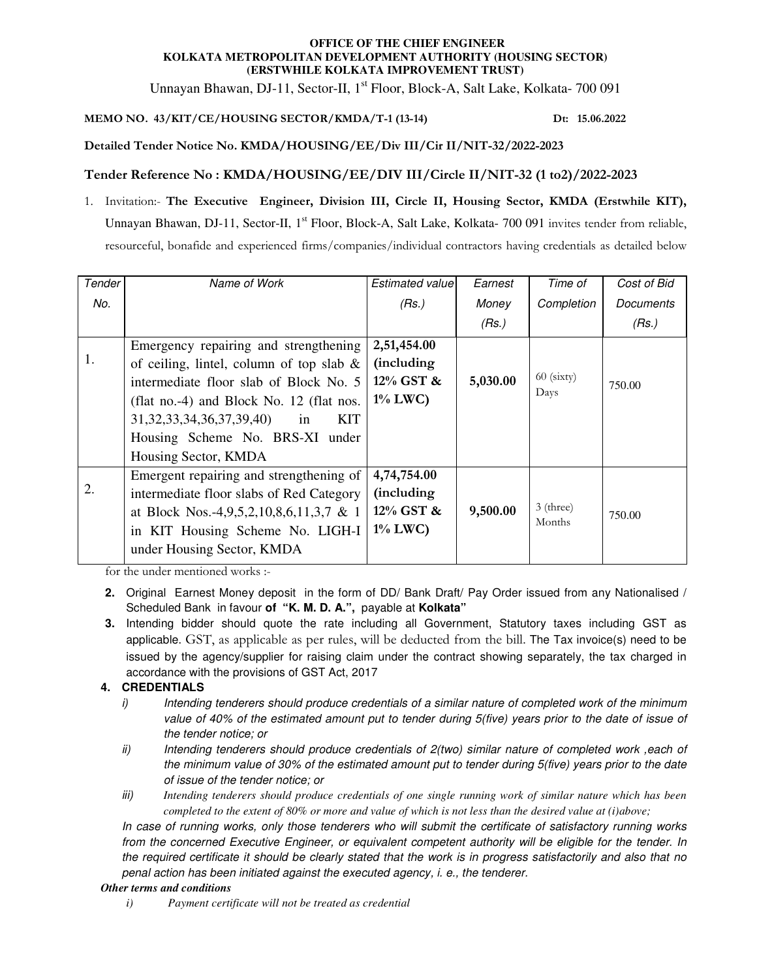#### **OFFICE OF THE CHIEF ENGINEER KOLKATA METROPOLITAN DEVELOPMENT AUTHORITY (HOUSING SECTOR) (ERSTWHILE KOLKATA IMPROVEMENT TRUST)**

Unnayan Bhawan, DJ-11, Sector-II, 1<sup>st</sup> Floor, Block-A, Salt Lake, Kolkata- 700 091

## **MEMO NO. 43/KIT/CE/HOUSING SECTOR/KMDA/T-1 (13-14) Dt: 15.06.2022**

### **Detailed Tender Notice No. KMDA/HOUSING/EE/Div III/Cir II/NIT-32/2022-2023**

## **Tender Reference No : KMDA/HOUSING/EE/DIV III/Circle II/NIT-32 (1 to2)/2022-2023**

1. Invitation:- **The Executive Engineer, Division III, Circle II, Housing Sector, KMDA (Erstwhile KIT),**  Unnayan Bhawan, DJ-11, Sector-II, 1<sup>st</sup> Floor, Block-A, Salt Lake, Kolkata- 700 091 invites tender from reliable, resourceful, bonafide and experienced firms/companies/individual contractors having credentials as detailed below

| Tender | Name of Work                                                                                                                                                                                                                                                                          | Estimated value                                              | Earnest  | Time of               | Cost of Bid |
|--------|---------------------------------------------------------------------------------------------------------------------------------------------------------------------------------------------------------------------------------------------------------------------------------------|--------------------------------------------------------------|----------|-----------------------|-------------|
| No.    |                                                                                                                                                                                                                                                                                       | (Rs.)                                                        | Money    | Completion            | Documents   |
|        |                                                                                                                                                                                                                                                                                       |                                                              | (Rs.)    |                       | (Rs.)       |
| 1.     | Emergency repairing and strengthening<br>of ceiling, lintel, column of top slab $\&$<br>intermediate floor slab of Block No. 5<br>(flat no.-4) and Block No. 12 (flat nos.<br>31, 32, 33, 34, 36, 37, 39, 40)<br>KIT<br>in<br>Housing Scheme No. BRS-XI under<br>Housing Sector, KMDA | 2,51,454.00<br><i>(including)</i><br>12% GST &<br>$1\%$ LWC) | 5,030.00 | $60$ (sixty)<br>Days  | 750.00      |
| 2.     | Emergent repairing and strengthening of<br>intermediate floor slabs of Red Category<br>at Block Nos.-4,9,5,2,10,8,6,11,3,7 & 1<br>in KIT Housing Scheme No. LIGH-I<br>under Housing Sector, KMDA                                                                                      | 4,74,754.00<br>(including<br>12% GST &<br>$1\%$ LWC)         | 9,500.00 | $3$ (three)<br>Months | 750.00      |

for the under mentioned works :-

- **2.** Original Earnest Money deposit in the form of DD/ Bank Draft/ Pay Order issued from any Nationalised / Scheduled Bank in favour **of "K. M. D. A.",** payable at **Kolkata"**
- **3.** Intending bidder should quote the rate including all Government, Statutory taxes including GST as applicable. GST, as applicable as per rules, will be deducted from the bill. The Tax invoice(s) need to be issued by the agency/supplier for raising claim under the contract showing separately, the tax charged in accordance with the provisions of GST Act, 2017

# **4. CREDENTIALS**

- i) Intending tenderers should produce credentials of a similar nature of completed work of the minimum value of 40% of the estimated amount put to tender during 5(five) years prior to the date of issue of the tender notice; or
- ii) Intending tenderers should produce credentials of 2(two) similar nature of completed work , each of the minimum value of 30% of the estimated amount put to tender during 5(five) years prior to the date of issue of the tender notice; or
- iii) *Intending tenderers should produce credentials of one single running work of similar nature which has been completed to the extent of 80% or more and value of which is not less than the desired value at (i)above;*

In case of running works, only those tenderers who will submit the certificate of satisfactory running works from the concerned Executive Engineer, or equivalent competent authority will be eligible for the tender. In the required certificate it should be clearly stated that the work is in progress satisfactorily and also that no penal action has been initiated against the executed agency, i. e., the tenderer.

### *Other terms and conditions*

*i) Payment certificate will not be treated as credential*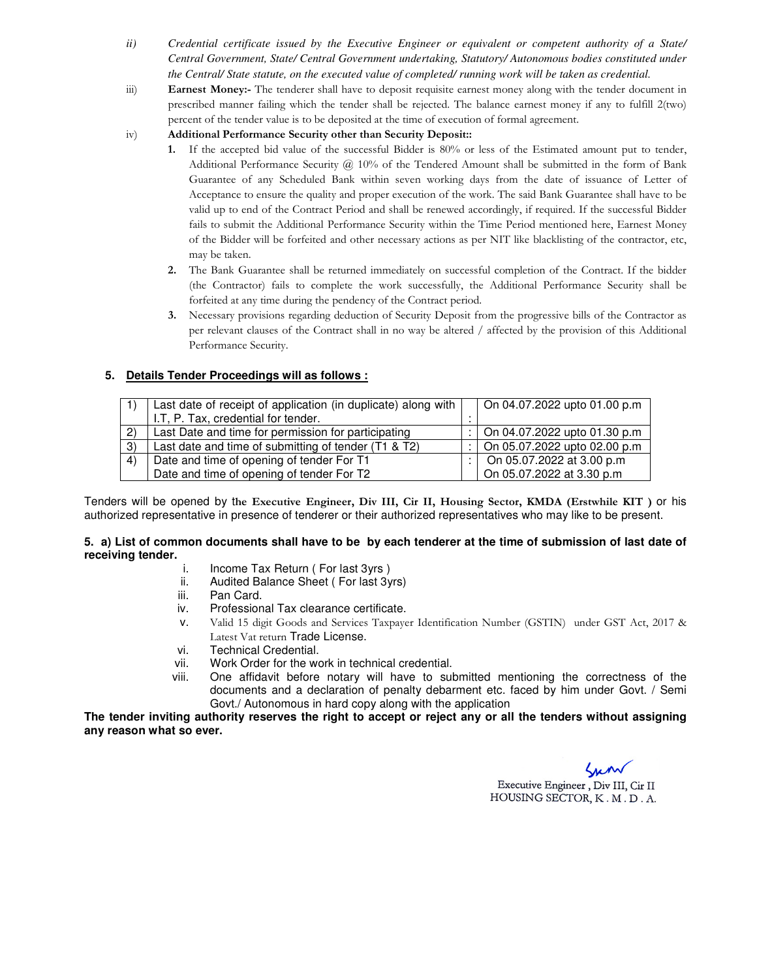- *ii) Credential certificate issued by the Executive Engineer or equivalent or competent authority of a State/ Central Government, State/ Central Government undertaking, Statutory/ Autonomous bodies constituted under the Central/ State statute, on the executed value of completed/ running work will be taken as credential.*
- iii) **Earnest Money:-** The tenderer shall have to deposit requisite earnest money along with the tender document in prescribed manner failing which the tender shall be rejected. The balance earnest money if any to fulfill 2(two) percent of the tender value is to be deposited at the time of execution of formal agreement.
- iv) **Additional Performance Security other than Security Deposit::** 
	- **1.** If the accepted bid value of the successful Bidder is 80% or less of the Estimated amount put to tender, Additional Performance Security @ 10% of the Tendered Amount shall be submitted in the form of Bank Guarantee of any Scheduled Bank within seven working days from the date of issuance of Letter of Acceptance to ensure the quality and proper execution of the work. The said Bank Guarantee shall have to be valid up to end of the Contract Period and shall be renewed accordingly, if required. If the successful Bidder fails to submit the Additional Performance Security within the Time Period mentioned here, Earnest Money of the Bidder will be forfeited and other necessary actions as per NIT like blacklisting of the contractor, etc, may be taken.
	- **2.** The Bank Guarantee shall be returned immediately on successful completion of the Contract. If the bidder (the Contractor) fails to complete the work successfully, the Additional Performance Security shall be forfeited at any time during the pendency of the Contract period.
	- **3.** Necessary provisions regarding deduction of Security Deposit from the progressive bills of the Contractor as per relevant clauses of the Contract shall in no way be altered / affected by the provision of this Additional Performance Security.

### **5. Details Tender Proceedings will as follows :**

|     | Last date of receipt of application (in duplicate) along with |  | On 04.07.2022 upto 01.00 p.m |
|-----|---------------------------------------------------------------|--|------------------------------|
|     | I.T, P. Tax, credential for tender.                           |  |                              |
| (2) | Last Date and time for permission for participating           |  | On 04.07.2022 upto 01.30 p.m |
| 3)  | Last date and time of submitting of tender (T1 & T2)          |  | On 05.07.2022 upto 02.00 p.m |
| 4)  | Date and time of opening of tender For T1                     |  | On 05.07.2022 at 3.00 p.m    |
|     | Date and time of opening of tender For T2                     |  | On 05.07.2022 at 3.30 p.m    |

Tenders will be opened by t**he Executive Engineer, Div III, Cir II, Housing Sector, KMDA (Erstwhile KIT )** or his authorized representative in presence of tenderer or their authorized representatives who may like to be present.

#### **5. a) List of common documents shall have to be by each tenderer at the time of submission of last date of receiving tender.**

- i. Income Tax Return ( For last 3yrs )
- ii. Audited Balance Sheet ( For last 3yrs)
- iii. Pan Card.
- iv. Professional Tax clearance certificate.
- v. Valid 15 digit Goods and Services Taxpayer Identification Number (GSTIN) under GST Act, 2017 & Latest Vat return Trade License.
- vi. Technical Credential.
- vii. Work Order for the work in technical credential.
- viii. One affidavit before notary will have to submitted mentioning the correctness of the documents and a declaration of penalty debarment etc. faced by him under Govt. / Semi Govt./ Autonomous in hard copy along with the application

**The tender inviting authority reserves the right to accept or reject any or all the tenders without assigning any reason what so ever.** 

Lun Executive Engineer, Div III, Cir II HOUSING SECTOR, K.M.D.A.